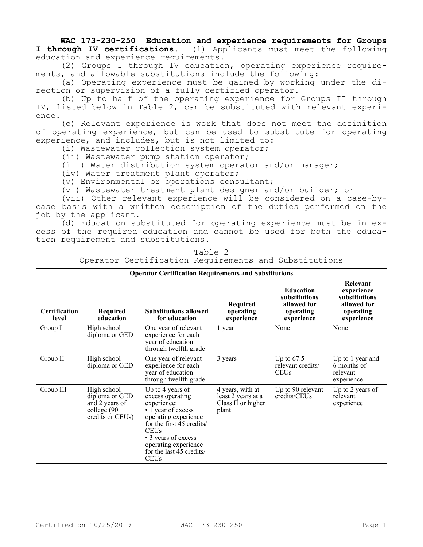## **WAC 173-230-250 Education and experience requirements for Groups I through IV certifications.** (1) Applicants must meet the following education and experience requirements.

(2) Groups I through IV education, operating experience requirements, and allowable substitutions include the following:

(a) Operating experience must be gained by working under the direction or supervision of a fully certified operator.

(b) Up to half of the operating experience for Groups II through IV, listed below in Table 2, can be substituted with relevant experience.

(c) Relevant experience is work that does not meet the definition of operating experience, but can be used to substitute for operating experience, and includes, but is not limited to:

(i) Wastewater collection system operator;

(ii) Wastewater pump station operator;

(iii) Water distribution system operator and/or manager;

(iv) Water treatment plant operator;

(v) Environmental or operations consultant;

(vi) Wastewater treatment plant designer and/or builder; or

(vii) Other relevant experience will be considered on a case-bycase basis with a written description of the duties performed on the job by the applicant.

(d) Education substituted for operating experience must be in excess of the required education and cannot be used for both the education requirement and substitutions.

| <b>Operator Certification Requirements and Substitutions</b> |                                                                                    |                                                                                                                                                                                                                                               |                                                                       |                                                                             |                                                                                   |  |  |  |  |
|--------------------------------------------------------------|------------------------------------------------------------------------------------|-----------------------------------------------------------------------------------------------------------------------------------------------------------------------------------------------------------------------------------------------|-----------------------------------------------------------------------|-----------------------------------------------------------------------------|-----------------------------------------------------------------------------------|--|--|--|--|
| <b>Certification</b><br>level                                | Required<br>education                                                              | <b>Substitutions allowed</b><br>for education                                                                                                                                                                                                 | Required<br>operating<br>experience                                   | <b>Education</b><br>substitutions<br>allowed for<br>operating<br>experience | Relevant<br>experience<br>substitutions<br>allowed for<br>operating<br>experience |  |  |  |  |
| Group I                                                      | High school<br>diploma or GED                                                      | One year of relevant<br>experience for each<br>year of education<br>through twelfth grade                                                                                                                                                     | 1 year                                                                | None                                                                        | None                                                                              |  |  |  |  |
| Group II                                                     | High school<br>diploma or GED                                                      | One year of relevant<br>experience for each<br>year of education<br>through twelfth grade                                                                                                                                                     | 3 years                                                               | Up to $67.5$<br>relevant credits/<br><b>CEUs</b>                            | Up to 1 year and<br>6 months of<br>relevant<br>experience                         |  |  |  |  |
| Group III                                                    | High school<br>diploma or GED<br>and 2 years of<br>college (90<br>credits or CEUs) | Up to 4 years of<br>excess operating<br>experience:<br>$\cdot$ 1 year of excess<br>operating experience<br>for the first 45 credits/<br><b>CEUs</b><br>• 3 years of excess<br>operating experience<br>for the last 45 credits/<br><b>CEUs</b> | 4 years, with at<br>least 2 years at a<br>Class II or higher<br>plant | Up to 90 relevant<br>credits/CEUs                                           | Up to 2 years of<br>relevant<br>experience                                        |  |  |  |  |

Table 2 Operator Certification Requirements and Substitutions